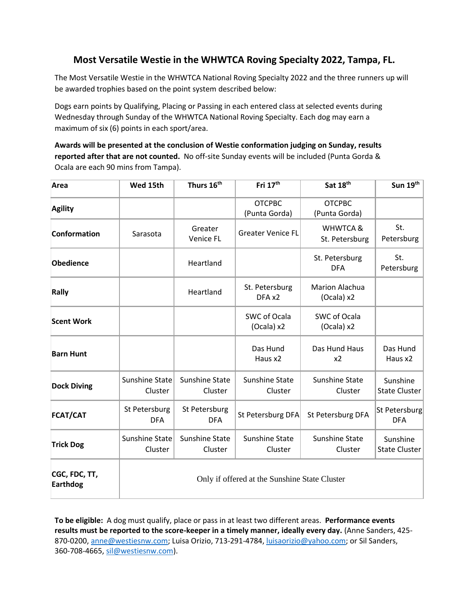## **Most Versatile Westie in the WHWTCA Roving Specialty 2022, Tampa, FL.**

The Most Versatile Westie in the WHWTCA National Roving Specialty 2022 and the three runners up will be awarded trophies based on the point system described below:

Dogs earn points by Qualifying, Placing or Passing in each entered class at selected events during Wednesday through Sunday of the WHWTCA National Roving Specialty. Each dog may earn a maximum of six (6) points in each sport/area.

**Awards will be presented at the conclusion of Westie conformation judging on Sunday, results reported after that are not counted.** No off-site Sunday events will be included (Punta Gorda & Ocala are each 90 mins from Tampa).

| Area                             | Wed 15th                                      | Thurs 16 <sup>th</sup>           | Fri 17 <sup>th</sup>           | Sat 18th                              | Sun 19th                    |
|----------------------------------|-----------------------------------------------|----------------------------------|--------------------------------|---------------------------------------|-----------------------------|
| <b>Agility</b>                   |                                               |                                  | <b>OTCPBC</b><br>(Punta Gorda) | <b>OTCPBC</b><br>(Punta Gorda)        |                             |
| <b>Conformation</b>              | Sarasota                                      | Greater<br>Venice FL             | <b>Greater Venice FL</b>       | <b>WHWTCA &amp;</b><br>St. Petersburg | St.<br>Petersburg           |
| <b>Obedience</b>                 |                                               | Heartland                        |                                | St. Petersburg<br><b>DFA</b>          | St.<br>Petersburg           |
| Rally                            |                                               | Heartland                        | St. Petersburg<br>DFA x2       | Marion Alachua<br>(Ocala) x2          |                             |
| <b>Scent Work</b>                |                                               |                                  | SWC of Ocala<br>(Ocala) x2     | SWC of Ocala<br>(Ocala) x2            |                             |
| <b>Barn Hunt</b>                 |                                               |                                  | Das Hund<br>Haus x2            | Das Hund Haus<br>x2                   | Das Hund<br>Haus x2         |
| <b>Dock Diving</b>               | Sunshine State<br>Cluster                     | Sunshine State<br>Cluster        | Sunshine State<br>Cluster      | Sunshine State<br>Cluster             | Sunshine<br>State Cluster   |
| <b>FCAT/CAT</b>                  | St Petersburg<br><b>DFA</b>                   | St Petersburg<br><b>DFA</b>      | St Petersburg DFA              | St Petersburg DFA                     | St Petersburg<br><b>DFA</b> |
| <b>Trick Dog</b>                 | Sunshine State<br>Cluster                     | <b>Sunshine State</b><br>Cluster | Sunshine State<br>Cluster      | Sunshine State<br>Cluster             | Sunshine<br>State Cluster   |
| CGC, FDC, TT,<br><b>Earthdog</b> | Only if offered at the Sunshine State Cluster |                                  |                                |                                       |                             |

**To be eligible:** A dog must qualify, place or pass in at least two different areas. **Performance events results must be reported to the score-keeper in a timely manner, ideally every day.** (Anne Sanders, 425- 870-0200[, anne@westiesnw.com;](mailto:anne@westiesnw.com) Luisa Orizio, 713-291-4784[, luisaorizio@yahoo.com;](mailto:luisaorizio@yahoo.com) or Sil Sanders, 360-708-4665, [sil@westiesnw.com\)](mailto:sil@westiesnw.com).